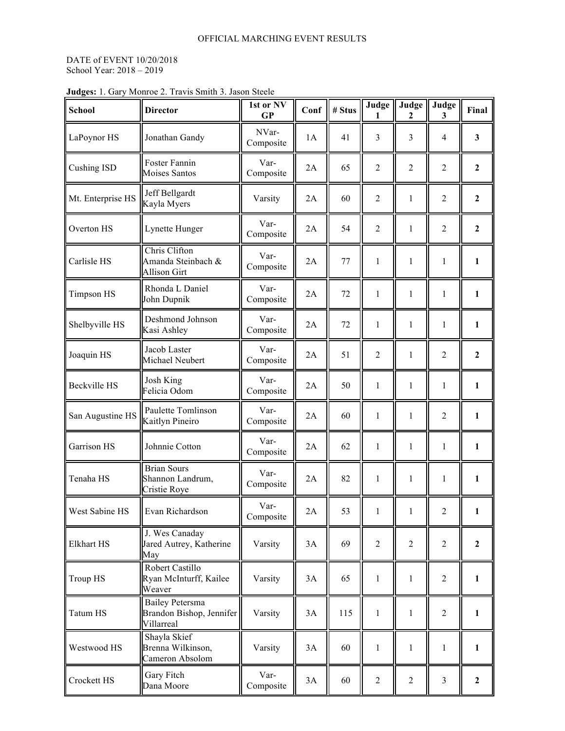## DATE of EVENT 10/20/2018 School Year: 2018 – 2019

| <b>School</b>       | <b>Director</b>                                                  | 1st or NV<br><b>GP</b> | Conf | # Stus | Judge          | Judge<br>2     | Judge<br>3              | Final            |
|---------------------|------------------------------------------------------------------|------------------------|------|--------|----------------|----------------|-------------------------|------------------|
| LaPoynor HS         | Jonathan Gandy                                                   | NVar-<br>Composite     | 1A   | 41     | 3              | 3              | 4                       | 3                |
| <b>Cushing ISD</b>  | Foster Fannin<br>Moises Santos                                   | Var-<br>Composite      | 2A   | 65     | $\overline{2}$ | $\overline{2}$ | $\overline{2}$          | $\overline{2}$   |
| Mt. Enterprise HS   | Jeff Bellgardt<br>Kayla Myers                                    | Varsity                | 2A   | 60     | $\overline{2}$ | $\mathbf{1}$   | $\overline{2}$          | $\overline{2}$   |
| Overton HS          | Lynette Hunger                                                   | Var-<br>Composite      | 2A   | 54     | $\overline{2}$ | $\mathbf{1}$   | $\overline{2}$          | $\overline{2}$   |
| Carlisle HS         | Chris Clifton<br>Amanda Steinbach &<br><b>Allison Girt</b>       | Var-<br>Composite      | 2A   | 77     | 1              | $\mathbf{1}$   | $\mathbf{1}$            | $\mathbf{1}$     |
| <b>Timpson HS</b>   | Rhonda L Daniel<br>John Dupnik                                   | Var-<br>Composite      | 2A   | 72     | $\mathbf{1}$   | $\mathbf{1}$   | $\mathbf{1}$            | $\mathbf{1}$     |
| Shelbyville HS      | Deshmond Johnson<br>Kasi Ashley                                  | Var-<br>Composite      | 2A   | 72     | 1              | $\mathbf{1}$   | 1                       | $\mathbf{1}$     |
| Joaquin HS          | Jacob Laster<br>Michael Neubert                                  | Var-<br>Composite      | 2A   | 51     | $\overline{2}$ | $\mathbf{1}$   | $\overline{2}$          | $\boldsymbol{2}$ |
| <b>Beckville HS</b> | Josh King<br>Felicia Odom                                        | Var-<br>Composite      | 2A   | 50     | 1              | $\mathbf{1}$   | 1                       | $\mathbf{1}$     |
| San Augustine HS    | Paulette Tomlinson<br>Kaitlyn Pineiro                            | Var-<br>Composite      | 2A   | 60     | $\mathbf{1}$   | $\mathbf{1}$   | $\overline{2}$          | $\mathbf{1}$     |
| Garrison HS         | Johnnie Cotton                                                   | Var-<br>Composite      | 2A   | 62     | 1              | $\mathbf{1}$   | 1                       | $\mathbf{1}$     |
| Tenaha HS           | <b>Brian Sours</b><br>Shannon Landrum,<br>Cristie Roye           | Var-<br>Composite      | 2A   | 82     | 1              | $\mathbf{1}$   | $\mathbf{1}$            | $\mathbf{1}$     |
| West Sabine HS      | Evan Richardson                                                  | Var-<br>Composite      | 2A   | 53     | $\mathbf{1}$   | $\mathbf{1}$   | $\overline{c}$          | $\mathbf{1}$     |
| Elkhart HS          | J. Wes Canaday<br>Jared Autrey, Katherine<br>May                 | Varsity                | 3A   | 69     | $\overline{2}$ | $\sqrt{2}$     | $\overline{c}$          | $\boldsymbol{2}$ |
| <b>Troup HS</b>     | Robert Castillo<br>Ryan McInturff, Kailee<br>Weaver              | Varsity                | 3A   | 65     | $\mathbf{1}$   | $\mathbf{1}$   | $\overline{2}$          | $\mathbf{1}$     |
| <b>Tatum HS</b>     | <b>Bailey Petersma</b><br>Brandon Bishop, Jennifer<br>Villarreal | Varsity                | 3A   | 115    | $\mathbf{1}$   | $\mathbf{1}$   | $\overline{c}$          | $\mathbf{1}$     |
| Westwood HS         | Shayla Skief<br>Brenna Wilkinson,<br>Cameron Absolom             | Varsity                | 3A   | 60     | 1              | $\mathbf{1}$   | $\mathbf{1}$            | $\mathbf{1}$     |
| Crockett HS         | Gary Fitch<br>Dana Moore                                         | Var-<br>Composite      | 3A   | 60     | $\sqrt{2}$     | $\sqrt{2}$     | $\overline{\mathbf{3}}$ | $\mathbf{2}$     |

## **Judges:** 1. Gary Monroe 2. Travis Smith 3. Jason Steele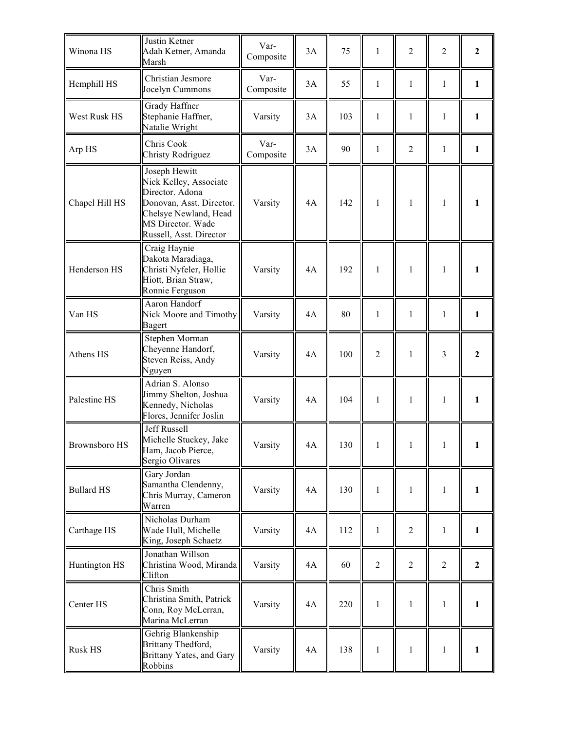| Winona HS            | Justin Ketner<br>Adah Ketner, Amanda<br>Marsh                                                                                                                   | Var-<br>Composite | 3A | 75  | 1              | $\overline{2}$ | 2              | $\overline{2}$ |
|----------------------|-----------------------------------------------------------------------------------------------------------------------------------------------------------------|-------------------|----|-----|----------------|----------------|----------------|----------------|
| Hemphill HS          | Christian Jesmore<br>Jocelyn Cummons                                                                                                                            | Var-<br>Composite | 3A | 55  | 1              | 1              | 1              | $\mathbf{1}$   |
| West Rusk HS         | Grady Haffner<br>Stephanie Haffner,<br>Natalie Wright                                                                                                           | Varsity           | 3A | 103 | 1              | 1              | 1              | $\mathbf{1}$   |
| Arp HS               | Chris Cook<br><b>Christy Rodriguez</b>                                                                                                                          | Var-<br>Composite | 3A | 90  | $\mathbf{1}$   | $\overline{2}$ | $\mathbf{1}$   | $\mathbf{1}$   |
| Chapel Hill HS       | Joseph Hewitt<br>Nick Kelley, Associate<br>Director. Adona<br>Donovan, Asst. Director.<br>Chelsye Newland, Head<br>MS Director. Wade<br>Russell, Asst. Director | Varsity           | 4A | 142 | 1              | 1              | 1              | 1              |
| Henderson HS         | Craig Haynie<br>Dakota Maradiaga,<br>Christi Nyfeler, Hollie<br>Hiott, Brian Straw,<br>Ronnie Ferguson                                                          | Varsity           | 4A | 192 | 1              | 1              | 1              | 1              |
| Van HS               | Aaron Handorf<br>Nick Moore and Timothy<br><b>Bagert</b>                                                                                                        | Varsity           | 4A | 80  | 1              | $\mathbf{1}$   | 1              | $\mathbf{1}$   |
| Athens HS            | Stephen Morman<br>Cheyenne Handorf,<br>Steven Reiss, Andy<br>Nguyen                                                                                             | Varsity           | 4A | 100 | $\overline{2}$ | 1              | 3              | $\mathbf{2}$   |
| Palestine HS         | Adrian S. Alonso<br>Jimmy Shelton, Joshua<br>Kennedy, Nicholas<br>Flores, Jennifer Joslin                                                                       | Varsity           | 4A | 104 | 1              | 1              | $\mathbf{1}$   | 1              |
| <b>Brownsboro HS</b> | Jeff Russell<br>Michelle Stuckey, Jake<br>Ham, Jacob Pierce,<br>Sergio Olivares                                                                                 | Varsity           | 4A | 130 | 1              |                |                |                |
| <b>Bullard HS</b>    | Gary Jordan<br>Samantha Clendenny,<br>Chris Murray, Cameron<br>Warren                                                                                           | Varsity           | 4A | 130 | 1              | 1              | 1              | $\mathbf{1}$   |
| Carthage HS          | Nicholas Durham<br>Wade Hull, Michelle<br>King, Joseph Schaetz                                                                                                  | Varsity           | 4A | 112 | 1              | $\overline{2}$ | $\mathbf{1}$   | $\mathbf{1}$   |
| Huntington HS        | Jonathan Willson<br>Christina Wood, Miranda<br>Clifton                                                                                                          | Varsity           | 4A | 60  | $\overline{2}$ | $\overline{2}$ | $\overline{2}$ | $\overline{2}$ |
| Center HS            | Chris Smith<br>Christina Smith, Patrick<br>Conn, Roy McLerran,<br>Marina McLerran                                                                               | Varsity           | 4A | 220 | 1              | 1              | 1              | 1              |
| Rusk HS              | Gehrig Blankenship<br>Brittany Thedford,<br>Brittany Yates, and Gary<br>Robbins                                                                                 | Varsity           | 4A | 138 | 1              | 1              | 1              | $\mathbf{1}$   |